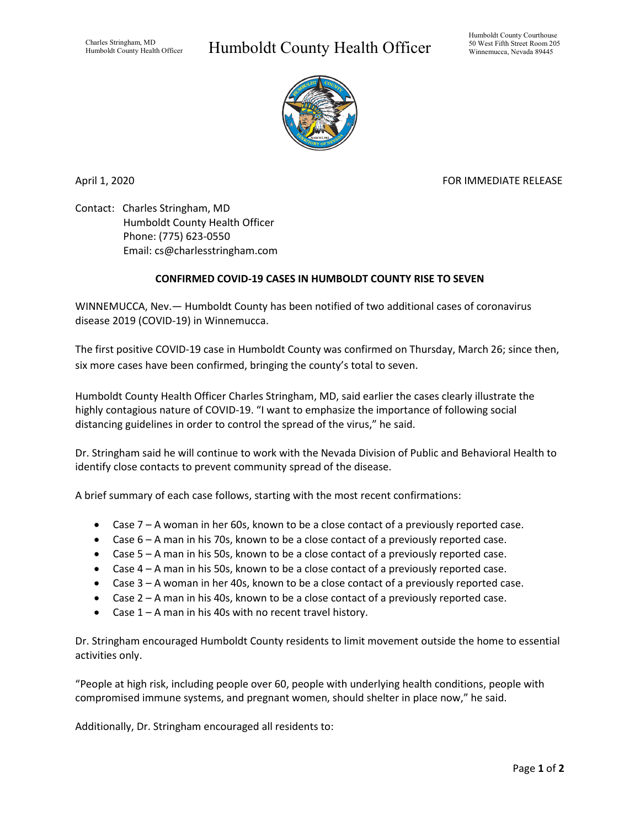## Humboldt County Health Officer



April 1, 2020 **FOR IMMEDIATE RELEASE** 

Contact: Charles Stringham, MD Humboldt County Health Officer Phone: (775) 623-0550 Email: cs@charlesstringham.com

## **CONFIRMED COVID-19 CASES IN HUMBOLDT COUNTY RISE TO SEVEN**

WINNEMUCCA, Nev.— Humboldt County has been notified of two additional cases of coronavirus disease 2019 (COVID-19) in Winnemucca.

The first positive COVID-19 case in Humboldt County was confirmed on Thursday, March 26; since then, six more cases have been confirmed, bringing the county's total to seven.

Humboldt County Health Officer Charles Stringham, MD, said earlier the cases clearly illustrate the highly contagious nature of COVID-19. "I want to emphasize the importance of following social distancing guidelines in order to control the spread of the virus," he said.

Dr. Stringham said he will continue to work with the Nevada Division of Public and Behavioral Health to identify close contacts to prevent community spread of the disease.

A brief summary of each case follows, starting with the most recent confirmations:

- Case 7 A woman in her 60s, known to be a close contact of a previously reported case.
- Case 6 A man in his 70s, known to be a close contact of a previously reported case.
- Case 5 A man in his 50s, known to be a close contact of a previously reported case.
- Case 4 A man in his 50s, known to be a close contact of a previously reported case.
- Case 3 A woman in her 40s, known to be a close contact of a previously reported case.
- Case 2 A man in his 40s, known to be a close contact of a previously reported case.
- Case 1 A man in his 40s with no recent travel history.

Dr. Stringham encouraged Humboldt County residents to limit movement outside the home to essential activities only.

"People at high risk, including people over 60, people with underlying health conditions, people with compromised immune systems, and pregnant women, should shelter in place now," he said.

Additionally, Dr. Stringham encouraged all residents to: